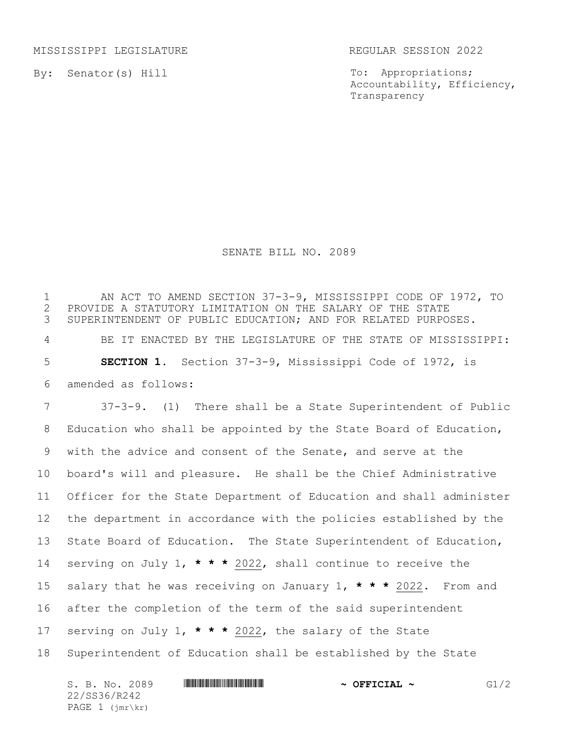MISSISSIPPI LEGISLATURE REGULAR SESSION 2022

By: Senator(s) Hill

To: Appropriations; Accountability, Efficiency, Transparency

## SENATE BILL NO. 2089

 AN ACT TO AMEND SECTION 37-3-9, MISSISSIPPI CODE OF 1972, TO 2 PROVIDE A STATUTORY LIMITATION ON THE SALARY OF THE STATE<br>3 SUPERINTENDENT OF PUBLIC EDUCATION; AND FOR RELATED PURPO SUPERINTENDENT OF PUBLIC EDUCATION; AND FOR RELATED PURPOSES. BE IT ENACTED BY THE LEGISLATURE OF THE STATE OF MISSISSIPPI: **SECTION 1.** Section 37-3-9, Mississippi Code of 1972, is amended as follows: 37-3-9. (1) There shall be a State Superintendent of Public Education who shall be appointed by the State Board of Education, with the advice and consent of the Senate, and serve at the board's will and pleasure. He shall be the Chief Administrative Officer for the State Department of Education and shall administer the department in accordance with the policies established by the State Board of Education. The State Superintendent of Education, serving on July 1, **\* \* \*** 2022, shall continue to receive the salary that he was receiving on January 1, **\* \* \*** 2022. From and after the completion of the term of the said superintendent serving on July 1, **\* \* \*** 2022, the salary of the State Superintendent of Education shall be established by the State

| S. B. No. 2089    | $\sim$ OFFICIAL $\sim$ | G1/2 |
|-------------------|------------------------|------|
| 22/SS36/R242      |                        |      |
| $PAGE 1 (imr\kr)$ |                        |      |